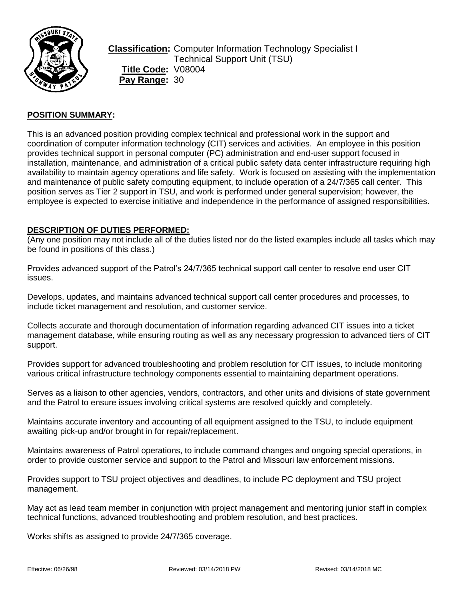

**Classification:** Computer Information Technology Specialist I Technical Support Unit (TSU) **Title Code:** V08004 Pay Range: 30

# **POSITION SUMMARY:**

This is an advanced position providing complex technical and professional work in the support and coordination of computer information technology (CIT) services and activities. An employee in this position provides technical support in personal computer (PC) administration and end-user support focused in installation, maintenance, and administration of a critical public safety data center infrastructure requiring high availability to maintain agency operations and life safety. Work is focused on assisting with the implementation and maintenance of public safety computing equipment, to include operation of a 24/7/365 call center. This position serves as Tier 2 support in TSU, and work is performed under general supervision; however, the employee is expected to exercise initiative and independence in the performance of assigned responsibilities.

### **DESCRIPTION OF DUTIES PERFORMED:**

(Any one position may not include all of the duties listed nor do the listed examples include all tasks which may be found in positions of this class.)

Provides advanced support of the Patrol's 24/7/365 technical support call center to resolve end user CIT issues.

Develops, updates, and maintains advanced technical support call center procedures and processes, to include ticket management and resolution, and customer service.

Collects accurate and thorough documentation of information regarding advanced CIT issues into a ticket management database, while ensuring routing as well as any necessary progression to advanced tiers of CIT support.

Provides support for advanced troubleshooting and problem resolution for CIT issues, to include monitoring various critical infrastructure technology components essential to maintaining department operations.

Serves as a liaison to other agencies, vendors, contractors, and other units and divisions of state government and the Patrol to ensure issues involving critical systems are resolved quickly and completely.

Maintains accurate inventory and accounting of all equipment assigned to the TSU, to include equipment awaiting pick-up and/or brought in for repair/replacement.

Maintains awareness of Patrol operations, to include command changes and ongoing special operations, in order to provide customer service and support to the Patrol and Missouri law enforcement missions.

Provides support to TSU project objectives and deadlines, to include PC deployment and TSU project management.

May act as lead team member in conjunction with project management and mentoring junior staff in complex technical functions, advanced troubleshooting and problem resolution, and best practices.

Works shifts as assigned to provide 24/7/365 coverage.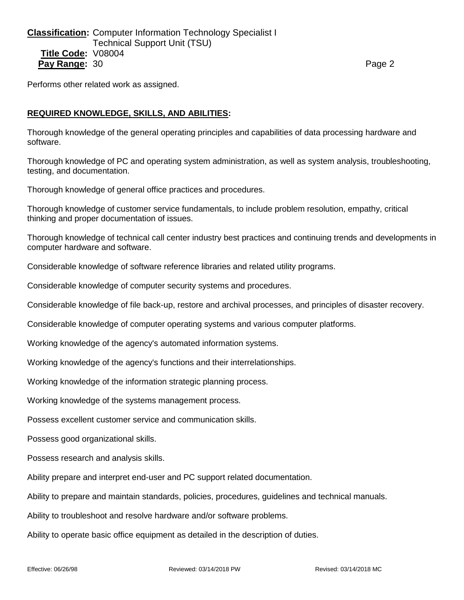**Classification:** Computer Information Technology Specialist I Technical Support Unit (TSU) **Title Code:** V08004 **Pay Range:** 30 **Page 2 Page 2 Page 2 Page 2 Page 2** 

Performs other related work as assigned.

## **REQUIRED KNOWLEDGE, SKILLS, AND ABILITIES:**

Thorough knowledge of the general operating principles and capabilities of data processing hardware and software.

Thorough knowledge of PC and operating system administration, as well as system analysis, troubleshooting, testing, and documentation.

Thorough knowledge of general office practices and procedures.

Thorough knowledge of customer service fundamentals, to include problem resolution, empathy, critical thinking and proper documentation of issues.

Thorough knowledge of technical call center industry best practices and continuing trends and developments in computer hardware and software.

Considerable knowledge of software reference libraries and related utility programs.

Considerable knowledge of computer security systems and procedures.

Considerable knowledge of file back-up, restore and archival processes, and principles of disaster recovery.

Considerable knowledge of computer operating systems and various computer platforms.

Working knowledge of the agency's automated information systems.

Working knowledge of the agency's functions and their interrelationships.

Working knowledge of the information strategic planning process.

Working knowledge of the systems management process.

Possess excellent customer service and communication skills.

Possess good organizational skills.

Possess research and analysis skills.

Ability prepare and interpret end-user and PC support related documentation.

Ability to prepare and maintain standards, policies, procedures, guidelines and technical manuals.

Ability to troubleshoot and resolve hardware and/or software problems.

Ability to operate basic office equipment as detailed in the description of duties.